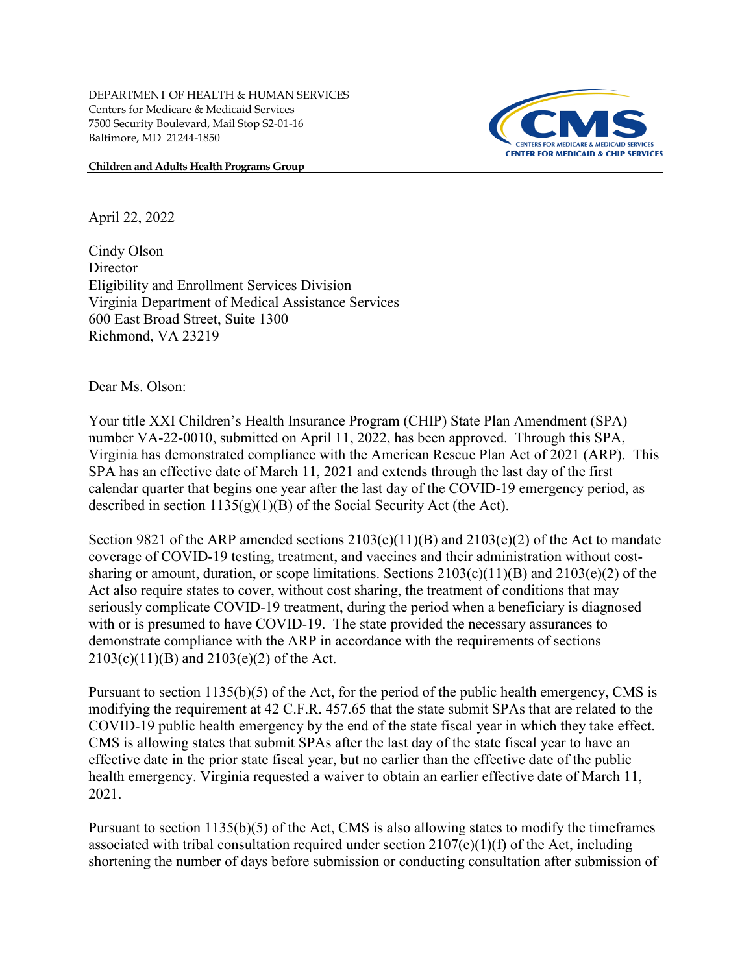**Children and Adults Health Programs Group**



April 22, 2022

Cindy Olson **Director** Eligibility and Enrollment Services Division Virginia Department of Medical Assistance Services 600 East Broad Street, Suite 1300 Richmond, VA 23219

Dear Ms. Olson:

Your title XXI Children's Health Insurance Program (CHIP) State Plan Amendment (SPA) number VA-22-0010, submitted on April 11, 2022, has been approved. Through this SPA, Virginia has demonstrated compliance with the American Rescue Plan Act of 2021 (ARP). This SPA has an effective date of March 11, 2021 and extends through the last day of the first calendar quarter that begins one year after the last day of the COVID-19 emergency period, as described in section  $1135(g)(1)(B)$  of the Social Security Act (the Act).

Section 9821 of the ARP amended sections  $2103(c)(11)(B)$  and  $2103(e)(2)$  of the Act to mandate coverage of COVID-19 testing, treatment, and vaccines and their administration without costsharing or amount, duration, or scope limitations. Sections  $2103(c)(11)(B)$  and  $2103(e)(2)$  of the Act also require states to cover, without cost sharing, the treatment of conditions that may seriously complicate COVID-19 treatment, during the period when a beneficiary is diagnosed with or is presumed to have COVID-19. The state provided the necessary assurances to demonstrate compliance with the ARP in accordance with the requirements of sections 2103(c)(11)(B) and 2103(e)(2) of the Act.

Pursuant to section 1135(b)(5) of the Act, for the period of the public health emergency, CMS is modifying the requirement at 42 C.F.R. 457.65 that the state submit SPAs that are related to the COVID-19 public health emergency by the end of the state fiscal year in which they take effect. CMS is allowing states that submit SPAs after the last day of the state fiscal year to have an effective date in the prior state fiscal year, but no earlier than the effective date of the public health emergency. Virginia requested a waiver to obtain an earlier effective date of March 11, 2021.

Pursuant to section  $1135(b)(5)$  of the Act, CMS is also allowing states to modify the timeframes associated with tribal consultation required under section 2107(e)(1)(f) of the Act, including shortening the number of days before submission or conducting consultation after submission of